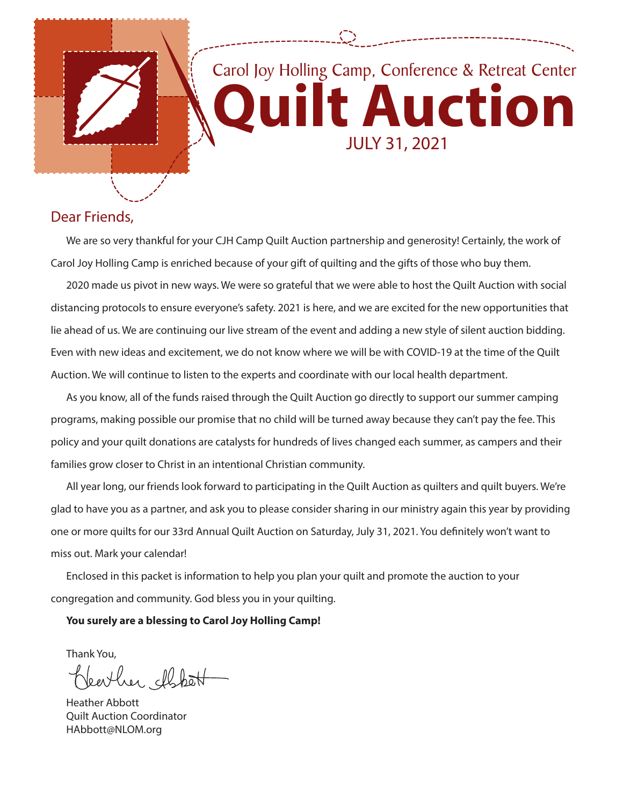

### Dear Friends,

We are so very thankful for your CJH Camp Quilt Auction partnership and generosity! Certainly, the work of Carol Joy Holling Camp is enriched because of your gift of quilting and the gifts of those who buy them.

2020 made us pivot in new ways. We were so grateful that we were able to host the Quilt Auction with social distancing protocols to ensure everyone's safety. 2021 is here, and we are excited for the new opportunities that lie ahead of us. We are continuing our live stream of the event and adding a new style of silent auction bidding. Even with new ideas and excitement, we do not know where we will be with COVID-19 at the time of the Quilt Auction. We will continue to listen to the experts and coordinate with our local health department.

As you know, all of the funds raised through the Quilt Auction go directly to support our summer camping programs, making possible our promise that no child will be turned away because they can't pay the fee. This policy and your quilt donations are catalysts for hundreds of lives changed each summer, as campers and their families grow closer to Christ in an intentional Christian community.

All year long, our friends look forward to participating in the Quilt Auction as quilters and quilt buyers. We're glad to have you as a partner, and ask you to please consider sharing in our ministry again this year by providing one or more quilts for our 33rd Annual Quilt Auction on Saturday, July 31, 2021. You definitely won't want to miss out. Mark your calendar!

Enclosed in this packet is information to help you plan your quilt and promote the auction to your congregation and community. God bless you in your quilting.

#### **You surely are a blessing to Carol Joy Holling Camp!**

Thank You, her chbat

Heather Abbott Quilt Auction Coordinator HAbbott@NLOM.org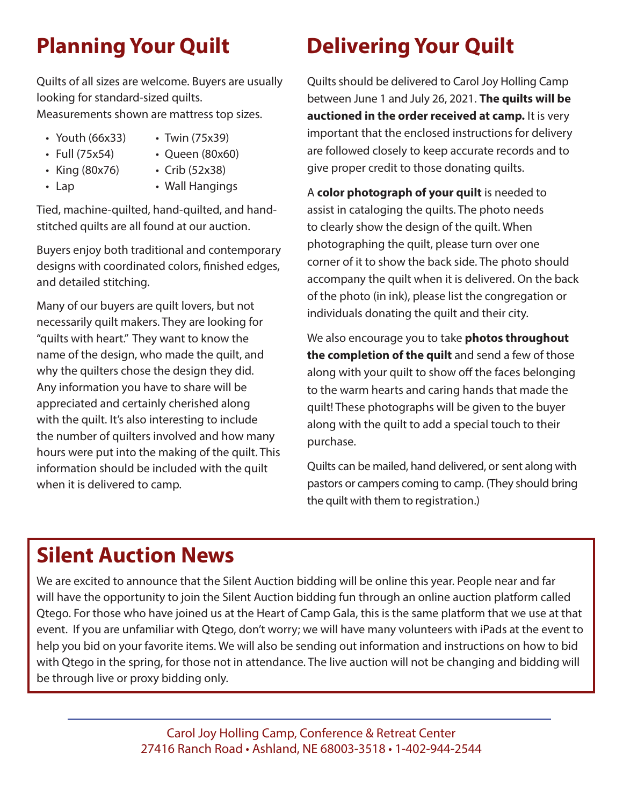Quilts of all sizes are welcome. Buyers are usually looking for standard-sized quilts. Measurements shown are mattress top sizes.

- 
- Youth (66x33) Twin (75x39)
- 
- Full (75x54) Queen (80x60)
- King (80x76) Crib (52x38)
	-
- 
- Lap Wall Hangings

Tied, machine-quilted, hand-quilted, and handstitched quilts are all found at our auction.

Buyers enjoy both traditional and contemporary designs with coordinated colors, finished edges, and detailed stitching.

Many of our buyers are quilt lovers, but not necessarily quilt makers. They are looking for "quilts with heart." They want to know the name of the design, who made the quilt, and why the quilters chose the design they did. Any information you have to share will be appreciated and certainly cherished along with the quilt. It's also interesting to include the number of quilters involved and how many hours were put into the making of the quilt. This information should be included with the quilt when it is delivered to camp.

## **Planning Your Quilt Delivering Your Quilt**

Quilts should be delivered to Carol Joy Holling Camp between June 1 and July 26, 2021. **The quilts will be auctioned in the order received at camp.** It is very important that the enclosed instructions for delivery are followed closely to keep accurate records and to give proper credit to those donating quilts.

A **color photograph of your quilt** is needed to assist in cataloging the quilts. The photo needs to clearly show the design of the quilt. When photographing the quilt, please turn over one corner of it to show the back side. The photo should accompany the quilt when it is delivered. On the back of the photo (in ink), please list the congregation or individuals donating the quilt and their city.

We also encourage you to take **photos throughout the completion of the quilt** and send a few of those along with your quilt to show off the faces belonging to the warm hearts and caring hands that made the quilt! These photographs will be given to the buyer along with the quilt to add a special touch to their purchase.

Quilts can be mailed, hand delivered, or sent along with pastors or campers coming to camp. (They should bring the quilt with them to registration.)

## **Silent Auction News**

We are excited to announce that the Silent Auction bidding will be online this year. People near and far will have the opportunity to join the Silent Auction bidding fun through an online auction platform called Qtego. For those who have joined us at the Heart of Camp Gala, this is the same platform that we use at that event. If you are unfamiliar with Qtego, don't worry; we will have many volunteers with iPads at the event to help you bid on your favorite items. We will also be sending out information and instructions on how to bid with Qtego in the spring, for those not in attendance. The live auction will not be changing and bidding will be through live or proxy bidding only.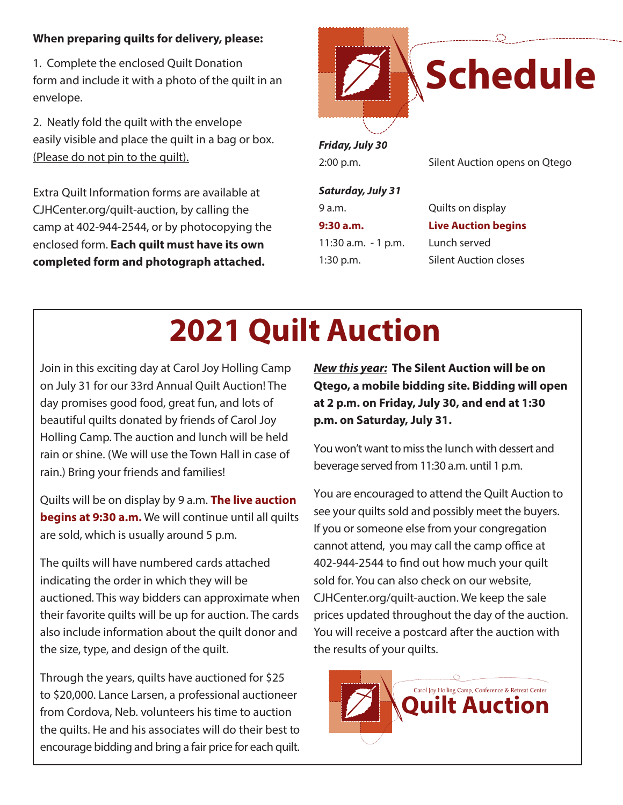#### **When preparing quilts for delivery, please:**

1. Complete the enclosed Quilt Donation form and include it with a photo of the quilt in an envelope.

2. Neatly fold the quilt with the envelope easily visible and place the quilt in a bag or box. (Please do not pin to the quilt).

Extra Quilt Information forms are available at CJHCenter.org/quilt-auction, by calling the camp at 402-944-2544, or by photocopying the enclosed form. **Each quilt must have its own completed form and photograph attached.**



2:00 p.m. Silent Auction opens on Qtego

*Saturday, July 31*

9 a.m. Quilts on display **9:30 a.m. Live Auction begins**  11:30 a.m. - 1 p.m. Lunch served 1:30 p.m. Silent Auction closes

# **2021 Quilt Auction**

Join in this exciting day at Carol Joy Holling Camp on July 31 for our 33rd Annual Quilt Auction! The day promises good food, great fun, and lots of beautiful quilts donated by friends of Carol Joy Holling Camp. The auction and lunch will be held rain or shine. (We will use the Town Hall in case of rain.) Bring your friends and families!

Quilts will be on display by 9 a.m. **The live auction begins at 9:30 a.m.** We will continue until all quilts are sold, which is usually around 5 p.m.

The quilts will have numbered cards attached indicating the order in which they will be auctioned. This way bidders can approximate when their favorite quilts will be up for auction. The cards also include information about the quilt donor and the size, type, and design of the quilt.

Through the years, quilts have auctioned for \$25 to \$20,000. Lance Larsen, a professional auctioneer from Cordova, Neb. volunteers his time to auction the quilts. He and his associates will do their best to encourage bidding and bring a fair price for each quilt. *New this year:* **The Silent Auction will be on Qtego, a mobile bidding site. Bidding will open at 2 p.m. on Friday, July 30, and end at 1:30 p.m. on Saturday, July 31.**

You won't want to miss the lunch with dessert and beverage served from 11:30 a.m. until 1 p.m.

You are encouraged to attend the Quilt Auction to see your quilts sold and possibly meet the buyers. If you or someone else from your congregation cannot attend, you may call the camp office at 402-944-2544 to find out how much your quilt sold for. You can also check on our website, CJHCenter.org/quilt-auction. We keep the sale prices updated throughout the day of the auction. You will receive a postcard after the auction with the results of your quilts.